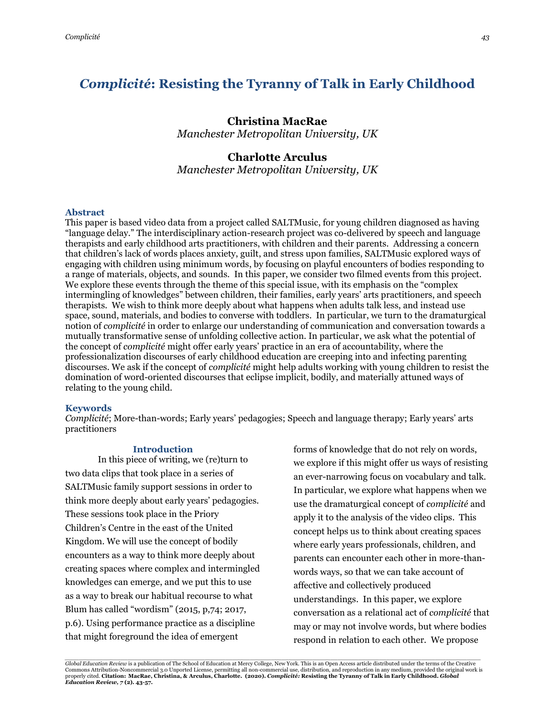# *Complicité***: Resisting the Tyranny of Talk in Early Childhood**

# **Christina MacRae**

*Manchester Metropolitan University, UK*

## **Charlotte Arculus**

*Manchester Metropolitan University, UK*

#### **Abstract**

This paper is based video data from a project called SALTMusic, for young children diagnosed as having "language delay." The interdisciplinary action-research project was co-delivered by speech and language therapists and early childhood arts practitioners, with children and their parents. Addressing a concern that children's lack of words places anxiety, guilt, and stress upon families, SALTMusic explored ways of engaging with children using minimum words, by focusing on playful encounters of bodies responding to a range of materials, objects, and sounds. In this paper, we consider two filmed events from this project. We explore these events through the theme of this special issue, with its emphasis on the "complex intermingling of knowledges" between children, their families, early years' arts practitioners, and speech therapists. We wish to think more deeply about what happens when adults talk less, and instead use space, sound, materials, and bodies to converse with toddlers. In particular, we turn to the dramaturgical notion of *complicité* in order to enlarge our understanding of communication and conversation towards a mutually transformative sense of unfolding collective action. In particular, we ask what the potential of the concept of *complicité* might offer early years' practice in an era of accountability, where the professionalization discourses of early childhood education are creeping into and infecting parenting discourses. We ask if the concept of *complicité* might help adults working with young children to resist the domination of word-oriented discourses that eclipse implicit, bodily, and materially attuned ways of relating to the young child.

#### **Keywords**

*Complicité*; More-than-words; Early years' pedagogies; Speech and language therapy; Early years' arts practitioners

#### **Introduction**

In this piece of writing, we (re)turn to two data clips that took place in a series of SALTMusic family support sessions in order to think more deeply about early years' pedagogies. These sessions took place in the Priory Children's Centre in the east of the United Kingdom. We will use the concept of bodily encounters as a way to think more deeply about creating spaces where complex and intermingled knowledges can emerge, and we put this to use as a way to break our habitual recourse to what Blum has called "wordism" (2015, p,74; 2017, p.6). Using performance practice as a discipline that might foreground the idea of emergent

forms of knowledge that do not rely on words, we explore if this might offer us ways of resisting an ever-narrowing focus on vocabulary and talk. In particular, we explore what happens when we use the dramaturgical concept of *complicité* and apply it to the analysis of the video clips. This concept helps us to think about creating spaces where early years professionals, children, and parents can encounter each other in more-thanwords ways, so that we can take account of affective and collectively produced understandings. In this paper, we explore conversation as a relational act of *complicité* that may or may not involve words, but where bodies respond in relation to each other. We propose

.<br>Global Education Review is a publication of The School of Education at Mercy College, New York. This is an Open Access article distributed under the terms of the Creative Commons Attribution-Noncommercial 3.0 Unported License, permitting all non-commercial use, distribution, and reproduction in any medium, provided the original work is properly cited. Citation: MacRae, Christina, & Arculus, Charlotte. (2020). *Complicité:* Resisting the Tyranny of Talk in Early Childhood. *Global*<br>Education Review, 7 (2). 43-57.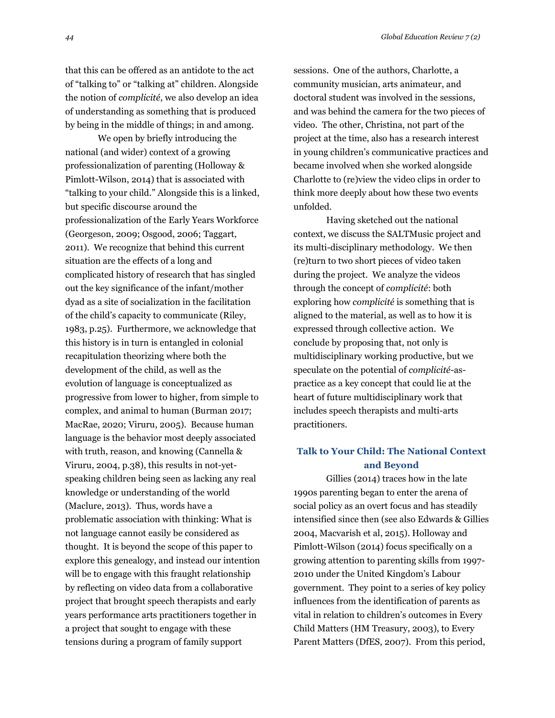that this can be offered as an antidote to the act of "talking to" or "talking at" children. Alongside the notion of *complicité*, we also develop an idea of understanding as something that is produced by being in the middle of things; in and among.

We open by briefly introducing the national (and wider) context of a growing professionalization of parenting (Holloway & Pimlott-Wilson, 2014) that is associated with "talking to your child." Alongside this is a linked, but specific discourse around the professionalization of the Early Years Workforce (Georgeson, 2009; Osgood, 2006; Taggart, 2011). We recognize that behind this current situation are the effects of a long and complicated history of research that has singled out the key significance of the infant/mother dyad as a site of socialization in the facilitation of the child's capacity to communicate (Riley, 1983, p.25). Furthermore, we acknowledge that this history is in turn is entangled in colonial recapitulation theorizing where both the development of the child, as well as the evolution of language is conceptualized as progressive from lower to higher, from simple to complex, and animal to human (Burman 2017; MacRae, 2020; Viruru, 2005). Because human language is the behavior most deeply associated with truth, reason, and knowing (Cannella & Viruru, 2004, p.38), this results in not-yetspeaking children being seen as lacking any real knowledge or understanding of the world (Maclure, 2013). Thus, words have a problematic association with thinking: What is not language cannot easily be considered as thought. It is beyond the scope of this paper to explore this genealogy, and instead our intention will be to engage with this fraught relationship by reflecting on video data from a collaborative project that brought speech therapists and early years performance arts practitioners together in a project that sought to engage with these tensions during a program of family support

sessions. One of the authors, Charlotte, a community musician, arts animateur, and doctoral student was involved in the sessions, and was behind the camera for the two pieces of video. The other, Christina, not part of the project at the time, also has a research interest in young children's communicative practices and became involved when she worked alongside Charlotte to (re)view the video clips in order to think more deeply about how these two events unfolded.

Having sketched out the national context, we discuss the SALTMusic project and its multi-disciplinary methodology. We then (re)turn to two short pieces of video taken during the project. We analyze the videos through the concept of *complicité*: both exploring how *complicité* is something that is aligned to the material, as well as to how it is expressed through collective action. We conclude by proposing that, not only is multidisciplinary working productive, but we speculate on the potential of *complicité*-aspractice as a key concept that could lie at the heart of future multidisciplinary work that includes speech therapists and multi-arts practitioners.

# **Talk to Your Child: The National Context and Beyond**

Gillies (2014) traces how in the late 1990s parenting began to enter the arena of social policy as an overt focus and has steadily intensified since then (see also Edwards & Gillies 2004, Macvarish et al, 2015). Holloway and Pimlott-Wilson (2014) focus specifically on a growing attention to parenting skills from 1997- 2010 under the United Kingdom's Labour government. They point to a series of key policy influences from the identification of parents as vital in relation to children's outcomes in Every Child Matters (HM Treasury, 2003), to Every Parent Matters (DfES, 2007). From this period,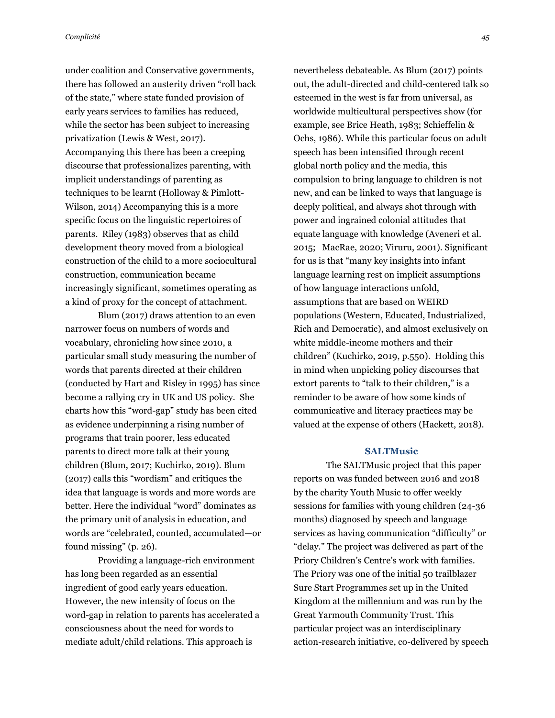under coalition and Conservative governments, there has followed an austerity driven "roll back of the state," where state funded provision of early years services to families has reduced, while the sector has been subject to increasing privatization (Lewis & West, 2017). Accompanying this there has been a creeping discourse that professionalizes parenting, with implicit understandings of parenting as techniques to be learnt (Holloway & Pimlott-Wilson, 2014) Accompanying this is a more specific focus on the linguistic repertoires of parents. Riley (1983) observes that as child development theory moved from a biological construction of the child to a more sociocultural construction, communication became increasingly significant, sometimes operating as a kind of proxy for the concept of attachment.

Blum (2017) draws attention to an even narrower focus on numbers of words and vocabulary, chronicling how since 2010, a particular small study measuring the number of words that parents directed at their children (conducted by Hart and Risley in 1995) has since become a rallying cry in UK and US policy. She charts how this "word-gap" study has been cited as evidence underpinning a rising number of programs that train poorer, less educated parents to direct more talk at their young children (Blum, 2017; Kuchirko, 2019). Blum (2017) calls this "wordism" and critiques the idea that language is words and more words are better. Here the individual "word" dominates as the primary unit of analysis in education, and words are "celebrated, counted, accumulated—or found missing" (p. 26).

Providing a language-rich environment has long been regarded as an essential ingredient of good early years education. However, the new intensity of focus on the word-gap in relation to parents has accelerated a consciousness about the need for words to mediate adult/child relations. This approach is

nevertheless debateable. As Blum (2017) points out, the adult-directed and child-centered talk so esteemed in the west is far from universal, as worldwide multicultural perspectives show (for example, see Brice Heath, 1983; Schieffelin & Ochs, 1986). While this particular focus on adult speech has been intensified through recent global north policy and the media, this compulsion to bring language to children is not new, and can be linked to ways that language is deeply political, and always shot through with power and ingrained colonial attitudes that equate language with knowledge (Aveneri et al. 2015; MacRae, 2020; Viruru, 2001). Significant for us is that "many key insights into infant language learning rest on implicit assumptions of how language interactions unfold, assumptions that are based on WEIRD populations (Western, Educated, Industrialized, Rich and Democratic), and almost exclusively on white middle-income mothers and their children" (Kuchirko, 2019, p.550). Holding this in mind when unpicking policy discourses that extort parents to "talk to their children," is a reminder to be aware of how some kinds of communicative and literacy practices may be valued at the expense of others (Hackett, 2018).

### **SALTMusic**

The SALTMusic project that this paper reports on was funded between 2016 and 2018 by the charity Youth Music to offer weekly sessions for families with young children (24-36 months) diagnosed by speech and language services as having communication "difficulty" or "delay." The project was delivered as part of the Priory Children's Centre's work with families. The Priory was one of the initial 50 trailblazer Sure Start Programmes set up in the United Kingdom at the millennium and was run by the Great Yarmouth Community Trust. This particular project was an interdisciplinary action-research initiative, co-delivered by speech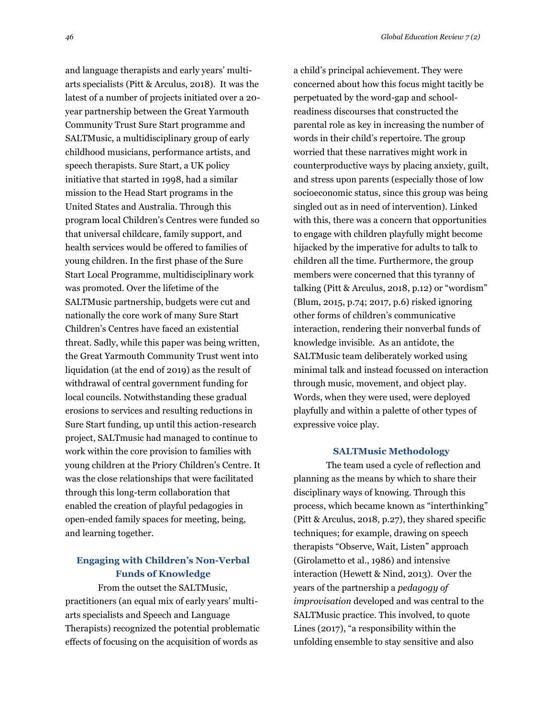and language therapists and early years' multiarts specialists (Pitt & Arculus, 2018). It was the latest of a number of projects initiated over a 20 year partnership between the Great Yarmouth Community Trust Sure Start programme and SALTMusic, a multidisciplinary group of early childhood musicians, performance artists, and speech therapists. Sure Start, a UK policy initiative that started in 1998, had a similar mission to the Head Start programs in the United States and Australia. Through this program local Children's Centres were funded so that universal childcare, family support, and health services would be offered to families of young children. In the first phase of the Sure Start Local Programme, multidisciplinary work was promoted. Over the lifetime of the SALTMusic partnership, budgets were cut and nationally the core work of many Sure Start Children's Centres have faced an existential threat. Sadly, while this paper was being written, the Great Yarmouth Community Trust went into liquidation (at the end of 2019) as the result of withdrawal of central government funding for local councils. Notwithstanding these gradual erosions to services and resulting reductions in Sure Start funding, up until this action-research project, SALTmusic had managed to continue to work within the core provision to families with young children at the Priory Children's Centre. It was the close relationships that were facilitated through this long-term collaboration that enabled the creation of playful pedagogies in open-ended family spaces for meeting, being, and learning together.

# **Engaging with Children's Non-Verbal Funds of Knowledge**

From the outset the SALTMusic, practitioners (an equal mix of early years' multiarts specialists and Speech and Language Therapists) recognized the potential problematic effects of focusing on the acquisition of words as

a child's principal achievement. They were concerned about how this focus might tacitly be perpetuated by the word-gap and schoolreadiness discourses that constructed the parental role as key in increasing the number of words in their child's repertoire. The group worried that these narratives might work in counterproductive ways by placing anxiety, guilt, and stress upon parents (especially those of low socioeconomic status, since this group was being singled out as in need of intervention). Linked with this, there was a concern that opportunities to engage with children playfully might become hijacked by the imperative for adults to talk to children all the time. Furthermore, the group members were concerned that this tyranny of talking (Pitt & Arculus, 2018, p.12) or "wordism" (Blum, 2015, p.74; 2017, p.6) risked ignoring other forms of children's communicative interaction, rendering their nonverbal funds of knowledge invisible. As an antidote, the SALTMusic team deliberately worked using minimal talk and instead focussed on interaction through music, movement, and object play. Words, when they were used, were deployed playfully and within a palette of other types of expressive voice play.

#### **SALTMusic Methodology**

The team used a cycle of reflection and planning as the means by which to share their disciplinary ways of knowing. Through this process, which became known as "interthinking" (Pitt & Arculus, 2018, p.27), they shared specific techniques; for example, drawing on speech therapists "Observe, Wait, Listen" approach (Girolametto et al., 1986) and intensive interaction (Hewett & Nind, 2013). Over the years of the partnership a *pedagogy of improvisation* developed and was central to the SALTMusic practice. This involved, to quote Lines (2017), "a responsibility within the unfolding ensemble to stay sensitive and also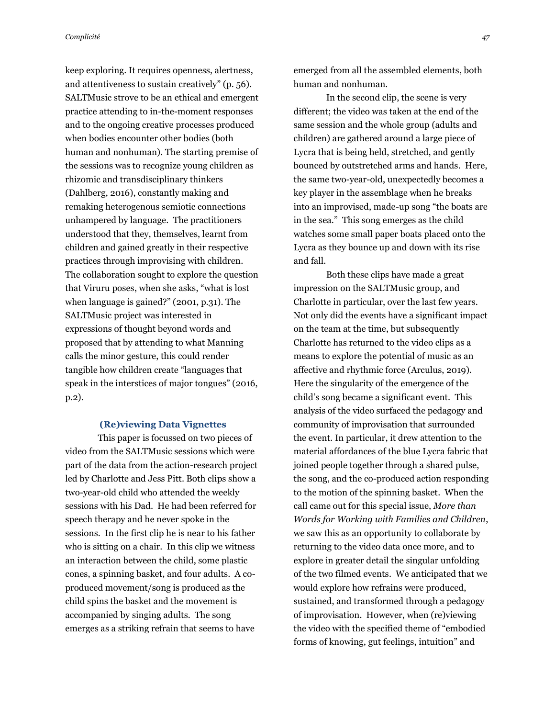keep exploring. It requires openness, alertness, and attentiveness to sustain creatively" (p. 56). SALTMusic strove to be an ethical and emergent practice attending to in-the-moment responses and to the ongoing creative processes produced when bodies encounter other bodies (both human and nonhuman). The starting premise of the sessions was to recognize young children as rhizomic and transdisciplinary thinkers (Dahlberg, 2016), constantly making and remaking heterogenous semiotic connections unhampered by language. The practitioners understood that they, themselves, learnt from children and gained greatly in their respective practices through improvising with children. The collaboration sought to explore the question that Viruru poses, when she asks, "what is lost when language is gained?" (2001, p.31). The SALTMusic project was interested in expressions of thought beyond words and proposed that by attending to what Manning calls the minor gesture, this could render tangible how children create "languages that speak in the interstices of major tongues" (2016, p.2).

### **(Re)viewing Data Vignettes**

This paper is focussed on two pieces of video from the SALTMusic sessions which were part of the data from the action-research project led by Charlotte and Jess Pitt. Both clips show a two-year-old child who attended the weekly sessions with his Dad. He had been referred for speech therapy and he never spoke in the sessions. In the first clip he is near to his father who is sitting on a chair. In this clip we witness an interaction between the child, some plastic cones, a spinning basket, and four adults. A coproduced movement/song is produced as the child spins the basket and the movement is accompanied by singing adults. The song emerges as a striking refrain that seems to have

emerged from all the assembled elements, both human and nonhuman.

In the second clip, the scene is very different; the video was taken at the end of the same session and the whole group (adults and children) are gathered around a large piece of Lycra that is being held, stretched, and gently bounced by outstretched arms and hands. Here, the same two-year-old, unexpectedly becomes a key player in the assemblage when he breaks into an improvised, made-up song "the boats are in the sea." This song emerges as the child watches some small paper boats placed onto the Lycra as they bounce up and down with its rise and fall.

Both these clips have made a great impression on the SALTMusic group, and Charlotte in particular, over the last few years. Not only did the events have a significant impact on the team at the time, but subsequently Charlotte has returned to the video clips as a means to explore the potential of music as an affective and rhythmic force (Arculus, 2019). Here the singularity of the emergence of the child's song became a significant event. This analysis of the video surfaced the pedagogy and community of improvisation that surrounded the event. In particular, it drew attention to the material affordances of the blue Lycra fabric that joined people together through a shared pulse, the song, and the co-produced action responding to the motion of the spinning basket. When the call came out for this special issue, *More than Words for Working with Families and Children*, we saw this as an opportunity to collaborate by returning to the video data once more, and to explore in greater detail the singular unfolding of the two filmed events. We anticipated that we would explore how refrains were produced, sustained, and transformed through a pedagogy of improvisation. However, when (re)viewing the video with the specified theme of "embodied forms of knowing, gut feelings, intuition" and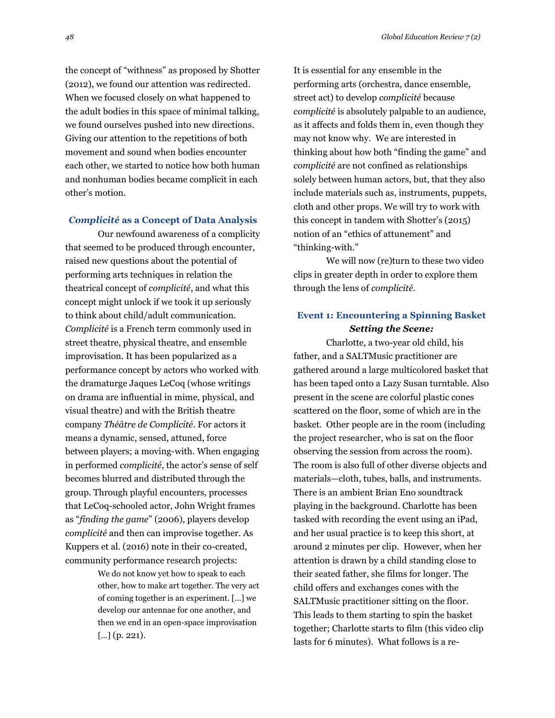the concept of "withness" as proposed by Shotter (2012), we found our attention was redirected. When we focused closely on what happened to the adult bodies in this space of minimal talking, we found ourselves pushed into new directions. Giving our attention to the repetitions of both movement and sound when bodies encounter each other, we started to notice how both human and nonhuman bodies became complicit in each other's motion.

#### *Complicité* **as a Concept of Data Analysis**

Our newfound awareness of a complicity that seemed to be produced through encounter, raised new questions about the potential of performing arts techniques in relation the theatrical concept of *complicité*, and what this concept might unlock if we took it up seriously to think about child/adult communication. *Complicité* is a French term commonly used in street theatre, physical theatre, and ensemble improvisation. It has been popularized as a performance concept by actors who worked with the dramaturge Jaques LeCoq (whose writings on drama are influential in mime, physical, and visual theatre) and with the British theatre company *Théâtre de Complicité*. For actors it means a dynamic, sensed, attuned, force between players; a moving-with. When engaging in performed *complicité*, the actor's sense of self becomes blurred and distributed through the group. Through playful encounters, processes that LeCoq-schooled actor, John Wright frames as "*finding the game*" (2006), players develop *complicité* and then can improvise together. As Kuppers et al. (2016) note in their co-created, community performance research projects:

> We do not know yet how to speak to each other, how to make art together. The very act of coming together is an experiment. […] we develop our antennae for one another, and then we end in an open-space improvisation […] (p. 221).

It is essential for any ensemble in the performing arts (orchestra, dance ensemble, street act) to develop *complicité* because *complicité* is absolutely palpable to an audience, as it affects and folds them in, even though they may not know why. We are interested in thinking about how both "finding the game" and *complicité* are not confined as relationships solely between human actors, but, that they also include materials such as, instruments, puppets, cloth and other props. We will try to work with this concept in tandem with Shotter's (2015) notion of an "ethics of attunement" and "thinking-with."

We will now (re)turn to these two video clips in greater depth in order to explore them through the lens of *complicité*.

## **Event 1: Encountering a Spinning Basket** *Setting the Scene:*

Charlotte, a two-year old child, his father, and a SALTMusic practitioner are gathered around a large multicolored basket that has been taped onto a Lazy Susan turntable. Also present in the scene are colorful plastic cones scattered on the floor, some of which are in the basket. Other people are in the room (including the project researcher, who is sat on the floor observing the session from across the room). The room is also full of other diverse objects and materials—cloth, tubes, balls, and instruments. There is an ambient Brian Eno soundtrack playing in the background. Charlotte has been tasked with recording the event using an iPad, and her usual practice is to keep this short, at around 2 minutes per clip. However, when her attention is drawn by a child standing close to their seated father, she films for longer. The child offers and exchanges cones with the SALTMusic practitioner sitting on the floor. This leads to them starting to spin the basket together; Charlotte starts to film (this video clip lasts for 6 minutes). What follows is a re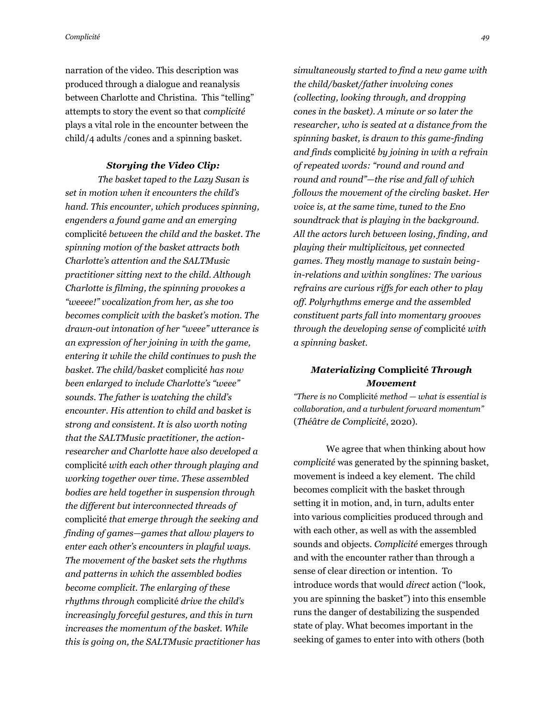narration of the video. This description was produced through a dialogue and reanalysis between Charlotte and Christina. This "telling" attempts to story the event so that *complicité*  plays a vital role in the encounter between the child/4 adults /cones and a spinning basket.

### *Storying the Video Clip:*

*The basket taped to the Lazy Susan is set in motion when it encounters the child's hand. This encounter, which produces spinning, engenders a found game and an emerging*  complicité *between the child and the basket. The spinning motion of the basket attracts both Charlotte's attention and the SALTMusic practitioner sitting next to the child. Although Charlotte is filming, the spinning provokes a "weeee!" vocalization from her, as she too becomes complicit with the basket's motion. The drawn-out intonation of her "weee" utterance is an expression of her joining in with the game, entering it while the child continues to push the basket. The child/basket* complicité *has now been enlarged to include Charlotte's "weee" sounds. The father is watching the child's encounter. His attention to child and basket is strong and consistent. It is also worth noting that the SALTMusic practitioner, the actionresearcher and Charlotte have also developed a*  complicité *with each other through playing and working together over time. These assembled bodies are held together in suspension through the different but interconnected threads of*  complicité *that emerge through the seeking and finding of games—games that allow players to enter each other's encounters in playful ways. The movement of the basket sets the rhythms and patterns in which the assembled bodies become complicit. The enlarging of these rhythms through* complicité *drive the child's increasingly forceful gestures, and this in turn increases the momentum of the basket. While this is going on, the SALTMusic practitioner has* 

*simultaneously started to find a new game with the child/basket/father involving cones (collecting, looking through, and dropping cones in the basket). A minute or so later the researcher, who is seated at a distance from the spinning basket, is drawn to this game-finding and finds* complicité *by joining in with a refrain of repeated words: "round and round and round and round"—the rise and fall of which follows the movement of the circling basket. Her voice is, at the same time, tuned to the Eno soundtrack that is playing in the background. All the actors lurch between losing, finding, and playing their multiplicitous, yet connected games. They mostly manage to sustain beingin-relations and within songlines: The various refrains are curious riffs for each other to play off. Polyrhythms emerge and the assembled constituent parts fall into momentary grooves through the developing sense of* complicité *with a spinning basket.* 

# *Materializing* **Complicité** *Through Movement*

*"There is no* Complicité *method — what is essential is collaboration, and a turbulent forward momentum"* (*Théâtre de Complicité*, 2020).

We agree that when thinking about how *complicité* was generated by the spinning basket, movement is indeed a key element. The child becomes complicit with the basket through setting it in motion, and, in turn, adults enter into various complicities produced through and with each other, as well as with the assembled sounds and objects. *Complicité* emerges through and with the encounter rather than through a sense of clear direction or intention. To introduce words that would *direct* action ("look, you are spinning the basket") into this ensemble runs the danger of destabilizing the suspended state of play. What becomes important in the seeking of games to enter into with others (both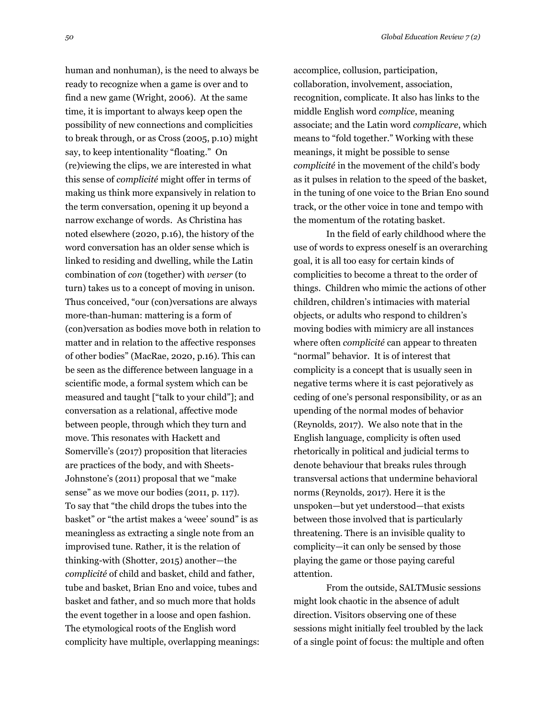*50 Global Education Review 7 (2)*

human and nonhuman), is the need to always be ready to recognize when a game is over and to find a new game (Wright, 2006). At the same time, it is important to always keep open the possibility of new connections and complicities to break through, or as Cross (2005, p.10) might say, to keep intentionality "floating." On (re)viewing the clips, we are interested in what this sense of *complicité* might offer in terms of making us think more expansively in relation to the term conversation, opening it up beyond a narrow exchange of words. As Christina has noted elsewhere (2020, p.16), the history of the word conversation has an older sense which is linked to residing and dwelling, while the Latin combination of *con* (together) with *verser* (to turn) takes us to a concept of moving in unison. Thus conceived, "our (con)versations are always more-than-human: mattering is a form of (con)versation as bodies move both in relation to matter and in relation to the affective responses of other bodies" (MacRae, 2020, p.16). This can be seen as the difference between language in a scientific mode, a formal system which can be measured and taught ["talk to your child"]; and conversation as a relational, affective mode between people, through which they turn and move. This resonates with Hackett and Somerville's (2017) proposition that literacies are practices of the body, and with Sheets-Johnstone's (2011) proposal that we "make sense" as we move our bodies (2011, p. 117). To say that "the child drops the tubes into the basket" or "the artist makes a 'weee' sound" is as meaningless as extracting a single note from an improvised tune. Rather, it is the relation of thinking-with (Shotter, 2015) another—the *complicité* of child and basket, child and father, tube and basket, Brian Eno and voice, tubes and basket and father, and so much more that holds the event together in a loose and open fashion. The etymological roots of the English word complicity have multiple, overlapping meanings:

accomplice, collusion, participation, collaboration, involvement, association, recognition, complicate. It also has links to the middle English word *complice*, meaning associate; and the Latin word *complicare*, which means to "fold together." Working with these meanings, it might be possible to sense *complicité* in the movement of the child's body as it pulses in relation to the speed of the basket, in the tuning of one voice to the Brian Eno sound track, or the other voice in tone and tempo with the momentum of the rotating basket.

In the field of early childhood where the use of words to express oneself is an overarching goal, it is all too easy for certain kinds of complicities to become a threat to the order of things. Children who mimic the actions of other children, children's intimacies with material objects, or adults who respond to children's moving bodies with mimicry are all instances where often *complicité* can appear to threaten "normal" behavior. It is of interest that complicity is a concept that is usually seen in negative terms where it is cast pejoratively as ceding of one's personal responsibility, or as an upending of the normal modes of behavior (Reynolds, 2017). We also note that in the English language, complicity is often used rhetorically in political and judicial terms to denote behaviour that breaks rules through transversal actions that undermine behavioral norms (Reynolds, 2017). Here it is the unspoken—but yet understood—that exists between those involved that is particularly threatening. There is an invisible quality to complicity—it can only be sensed by those playing the game or those paying careful attention.

From the outside, SALTMusic sessions might look chaotic in the absence of adult direction. Visitors observing one of these sessions might initially feel troubled by the lack of a single point of focus: the multiple and often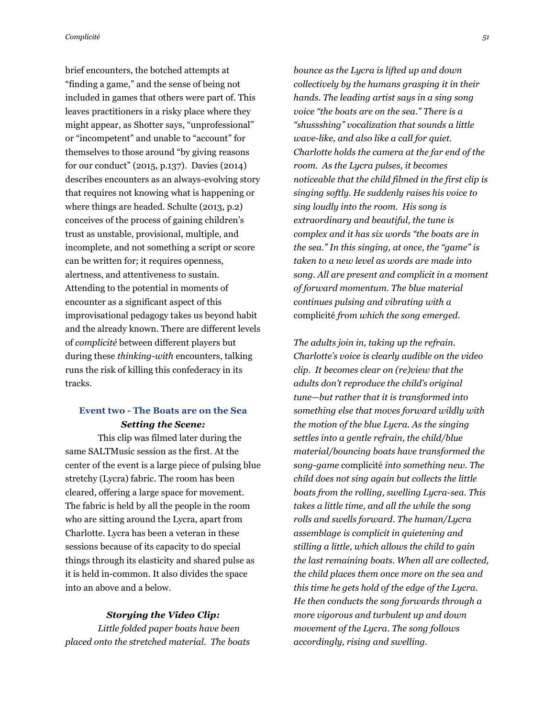*Complicité 51* 

brief encounters, the botched attempts at "finding a game," and the sense of being not included in games that others were part of. This leaves practitioners in a risky place where they might appear, as Shotter says, "unprofessional" or "incompetent" and unable to "account" for themselves to those around "by giving reasons for our conduct" (2015, p.137). Davies (2014) describes encounters as an always-evolving story that requires not knowing what is happening or where things are headed. Schulte (2013, p.2) conceives of the process of gaining children's trust as unstable, provisional, multiple, and incomplete, and not something a script or score can be written for; it requires openness, alertness, and attentiveness to sustain. Attending to the potential in moments of encounter as a significant aspect of this improvisational pedagogy takes us beyond habit and the already known. There are different levels of *complicité* between different players but during these *thinking-with* encounters, talking runs the risk of killing this confederacy in its tracks.

# **Event two - The Boats are on the Sea** *Setting the Scene:*

This clip was filmed later during the same SALTMusic session as the first. At the center of the event is a large piece of pulsing blue stretchy (Lycra) fabric. The room has been cleared, offering a large space for movement. The fabric is held by all the people in the room who are sitting around the Lycra, apart from Charlotte. Lycra has been a veteran in these sessions because of its capacity to do special things through its elasticity and shared pulse as it is held in-common. It also divides the space into an above and a below.

#### *Storying the Video Clip:*

*Little folded paper boats have been placed onto the stretched material. The boats*  *bounce as the Lycra is lifted up and down collectively by the humans grasping it in their hands. The leading artist says in a sing song voice "the boats are on the sea." There is a "shussshing" vocalization that sounds a little wave-like, and also like a call for quiet. Charlotte holds the camera at the far end of the room. As the Lycra pulses, it becomes noticeable that the child filmed in the first clip is singing softly. He suddenly raises his voice to sing loudly into the room. His song is extraordinary and beautiful, the tune is complex and it has six words "the boats are in the sea." In this singing, at once, the "game" is taken to a new level as words are made into song. All are present and complicit in a moment of forward momentum. The blue material continues pulsing and vibrating with a*  complicité *from which the song emerged.*

*The adults join in, taking up the refrain. Charlotte's voice is clearly audible on the video clip. It becomes clear on (re)view that the adults don't reproduce the child's original tune—but rather that it is transformed into something else that moves forward wildly with the motion of the blue Lycra. As the singing settles into a gentle refrain, the child/blue material/bouncing boats have transformed the song-game* complicité *into something new. The child does not sing again but collects the little boats from the rolling, swelling Lycra-sea. This takes a little time, and all the while the song rolls and swells forward. The human/Lycra assemblage is complicit in quietening and stilling a little, which allows the child to gain the last remaining boats. When all are collected, the child places them once more on the sea and this time he gets hold of the edge of the Lycra. He then conducts the song forwards through a more vigorous and turbulent up and down movement of the Lycra. The song follows accordingly, rising and swelling.*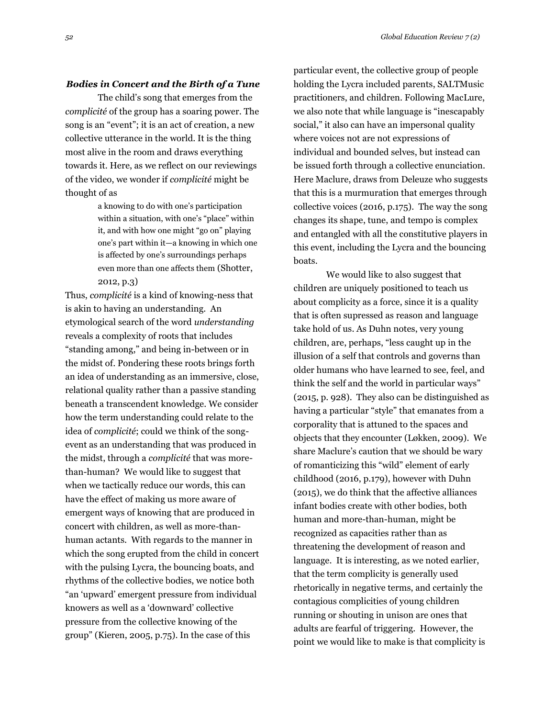#### *Bodies in Concert and the Birth of a Tune*

The child's song that emerges from the *complicité* of the group has a soaring power. The song is an "event"; it is an act of creation, a new collective utterance in the world. It is the thing most alive in the room and draws everything towards it. Here, as we reflect on our reviewings of the video, we wonder if *complicité* might be thought of as

> a knowing to do with one's participation within a situation, with one's "place" within it, and with how one might "go on" playing one's part within it—a knowing in which one is affected by one's surroundings perhaps even more than one affects them (Shotter, 2012, p.3)

Thus, *complicité* is a kind of knowing-ness that is akin to having an understanding. An etymological search of the word *understanding*  reveals a complexity of roots that includes "standing among," and being in-between or in the midst of. Pondering these roots brings forth an idea of understanding as an immersive, close, relational quality rather than a passive standing beneath a transcendent knowledge. We consider how the term understanding could relate to the idea of *complicité*; could we think of the songevent as an understanding that was produced in the midst, through a *complicité* that was morethan-human? We would like to suggest that when we tactically reduce our words, this can have the effect of making us more aware of emergent ways of knowing that are produced in concert with children, as well as more-thanhuman actants. With regards to the manner in which the song erupted from the child in concert with the pulsing Lycra, the bouncing boats, and rhythms of the collective bodies, we notice both "an 'upward' emergent pressure from individual knowers as well as a 'downward' collective pressure from the collective knowing of the group" (Kieren, 2005, p.75). In the case of this

particular event, the collective group of people holding the Lycra included parents, SALTMusic practitioners, and children. Following MacLure, we also note that while language is "inescapably social," it also can have an impersonal quality where voices not are not expressions of individual and bounded selves, but instead can be issued forth through a collective enunciation. Here Maclure, draws from Deleuze who suggests that this is a murmuration that emerges through collective voices (2016, p.175). The way the song changes its shape, tune, and tempo is complex and entangled with all the constitutive players in this event, including the Lycra and the bouncing boats.

We would like to also suggest that children are uniquely positioned to teach us about complicity as a force, since it is a quality that is often supressed as reason and language take hold of us. As Duhn notes, very young children, are, perhaps, "less caught up in the illusion of a self that controls and governs than older humans who have learned to see, feel, and think the self and the world in particular ways" (2015, p. 928). They also can be distinguished as having a particular "style" that emanates from a corporality that is attuned to the spaces and objects that they encounter (Løkken, 2009). We share Maclure's caution that we should be wary of romanticizing this "wild" element of early childhood (2016, p.179), however with Duhn (2015), we do think that the affective alliances infant bodies create with other bodies, both human and more-than-human, might be recognized as capacities rather than as threatening the development of reason and language. It is interesting, as we noted earlier, that the term complicity is generally used rhetorically in negative terms, and certainly the contagious complicities of young children running or shouting in unison are ones that adults are fearful of triggering. However, the point we would like to make is that complicity is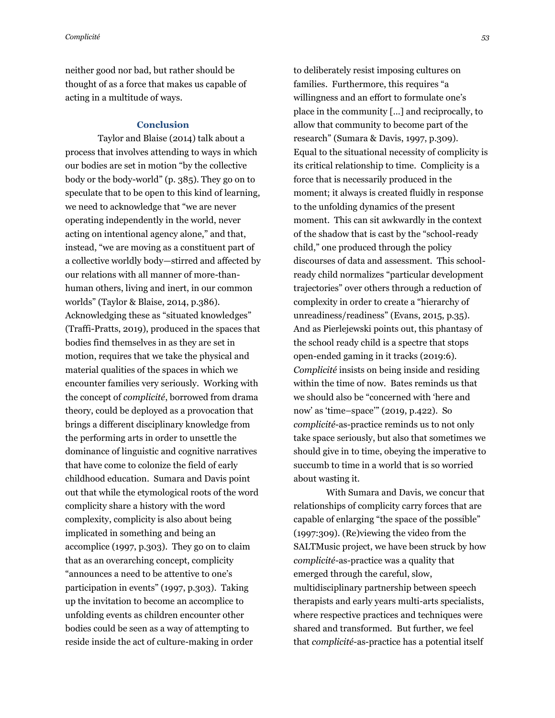neither good nor bad, but rather should be thought of as a force that makes us capable of acting in a multitude of ways.

### **Conclusion**

Taylor and Blaise (2014) talk about a process that involves attending to ways in which our bodies are set in motion "by the collective body or the body-world" (p. 385). They go on to speculate that to be open to this kind of learning, we need to acknowledge that "we are never operating independently in the world, never acting on intentional agency alone," and that, instead, "we are moving as a constituent part of a collective worldly body—stirred and affected by our relations with all manner of more-thanhuman others, living and inert, in our common worlds" (Taylor & Blaise, 2014, p.386). Acknowledging these as "situated knowledges" (Traffi-Pratts, 2019), produced in the spaces that bodies find themselves in as they are set in motion, requires that we take the physical and material qualities of the spaces in which we encounter families very seriously. Working with the concept of *complicité*, borrowed from drama theory, could be deployed as a provocation that brings a different disciplinary knowledge from the performing arts in order to unsettle the dominance of linguistic and cognitive narratives that have come to colonize the field of early childhood education. Sumara and Davis point out that while the etymological roots of the word complicity share a history with the word complexity, complicity is also about being implicated in something and being an accomplice (1997, p.303). They go on to claim that as an overarching concept, complicity "announces a need to be attentive to one's participation in events" (1997, p.303). Taking up the invitation to become an accomplice to unfolding events as children encounter other bodies could be seen as a way of attempting to reside inside the act of culture-making in order

to deliberately resist imposing cultures on families. Furthermore, this requires "a willingness and an effort to formulate one's place in the community […] and reciprocally, to allow that community to become part of the research" (Sumara & Davis, 1997, p.309). Equal to the situational necessity of complicity is its critical relationship to time. Complicity is a force that is necessarily produced in the moment; it always is created fluidly in response to the unfolding dynamics of the present moment. This can sit awkwardly in the context of the shadow that is cast by the "school-ready child," one produced through the policy discourses of data and assessment. This schoolready child normalizes "particular development trajectories" over others through a reduction of complexity in order to create a "hierarchy of unreadiness/readiness" (Evans, 2015, p.35). And as Pierlejewski points out, this phantasy of the school ready child is a spectre that stops open-ended gaming in it tracks (2019:6). *Complicité* insists on being inside and residing within the time of now. Bates reminds us that we should also be "concerned with 'here and now' as 'time–space'" (2019, p.422). So *complicité*-as-practice reminds us to not only take space seriously, but also that sometimes we should give in to time, obeying the imperative to succumb to time in a world that is so worried about wasting it.

With Sumara and Davis, we concur that relationships of complicity carry forces that are capable of enlarging "the space of the possible" (1997:309). (Re)viewing the video from the SALTMusic project, we have been struck by how *complicité*-as-practice was a quality that emerged through the careful, slow, multidisciplinary partnership between speech therapists and early years multi-arts specialists, where respective practices and techniques were shared and transformed. But further, we feel that *complicité*-as-practice has a potential itself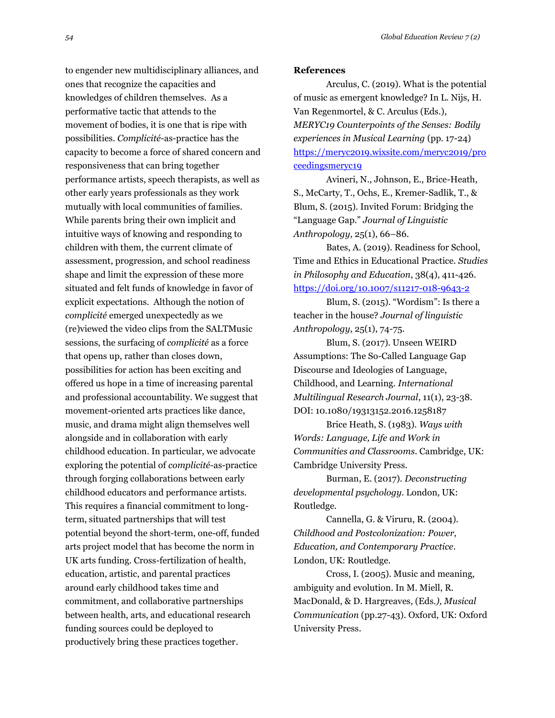to engender new multidisciplinary alliances, and ones that recognize the capacities and knowledges of children themselves. As a performative tactic that attends to the movement of bodies, it is one that is ripe with possibilities. *Complicité*-as-practice has the capacity to become a force of shared concern and responsiveness that can bring together performance artists, speech therapists, as well as other early years professionals as they work mutually with local communities of families. While parents bring their own implicit and intuitive ways of knowing and responding to children with them, the current climate of assessment, progression, and school readiness shape and limit the expression of these more situated and felt funds of knowledge in favor of explicit expectations. Although the notion of *complicité* emerged unexpectedly as we (re)viewed the video clips from the SALTMusic sessions, the surfacing of *complicité* as a force that opens up, rather than closes down, possibilities for action has been exciting and offered us hope in a time of increasing parental and professional accountability. We suggest that movement-oriented arts practices like dance, music, and drama might align themselves well alongside and in collaboration with early childhood education. In particular, we advocate exploring the potential of *complicité*-as-practice through forging collaborations between early childhood educators and performance artists. This requires a financial commitment to longterm, situated partnerships that will test potential beyond the short-term, one-off, funded arts project model that has become the norm in UK arts funding. Cross-fertilization of health, education, artistic, and parental practices around early childhood takes time and commitment, and collaborative partnerships between health, arts, and educational research funding sources could be deployed to productively bring these practices together.

#### **References**

Arculus, C. (2019). What is the potential of music as emergent knowledge? In L. Nijs, H. Van Regenmortel, & C. Arculus (Eds.), *MERYC19 Counterpoints of the Senses: Bodily experiences in Musical Learning* (pp. 17-24) [https://meryc2019.wixsite.com/meryc2019/pro](https://meryc2019.wixsite.com/meryc2019/proceedingsmeryc19) [ceedingsmeryc19](https://meryc2019.wixsite.com/meryc2019/proceedingsmeryc19)

Avineri, N., Johnson, E., Brice-Heath, S., McCarty, T., Ochs, E., Kremer-Sadlik, T., & Blum, S. (2015). Invited Forum: Bridging the "Language Gap." *Journal of Linguistic Anthropology*, 25(1), 66–86.

Bates, A. (2019). Readiness for School, Time and Ethics in Educational Practice. *Studies in Philosophy and Education*, 38(4), 411-426. <https://doi.org/10.1007/s11217-018-9643-2>

Blum, S. (2015). "Wordism": Is there a teacher in the house? *Journal of linguistic Anthropology*, 25(1), 74-75.

Blum, S. (2017). Unseen WEIRD Assumptions: The So-Called Language Gap Discourse and Ideologies of Language, Childhood, and Learning. *International Multilingual Research Journal*, 11(1), 23-38. DOI: 10.1080/19313152.2016.1258187

Brice Heath, S. (1983). *Ways with Words: Language, Life and Work in Communities and Classrooms*. Cambridge, UK: Cambridge University Press.

Burman, E. (2017). *Deconstructing developmental psychology*. London, UK: Routledge.

Cannella, G. & Viruru, R. (2004). *Childhood and Postcolonization: Power, Education, and Contemporary Practice*. London, UK: Routledge.

Cross, I. (2005). Music and meaning, ambiguity and evolution. In M. Miell, R. MacDonald, & D. Hargreaves, (Eds*.), Musical Communication* (pp.27-43). Oxford, UK: Oxford University Press.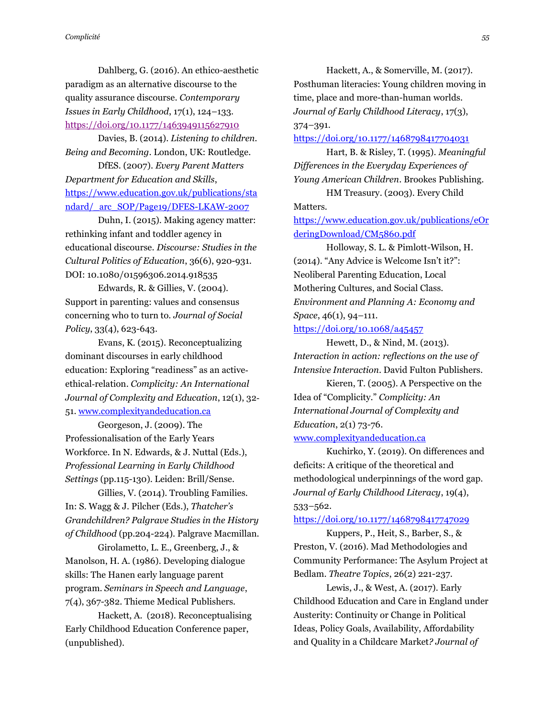Dahlberg, G. (2016). An ethico-aesthetic paradigm as an alternative discourse to the quality assurance discourse. *Contemporary Issues in Early Childhood*, 17(1), 124–133. <https://doi.org/10.1177/1463949115627910>

Davies, B. (2014). *Listening to children. Being and Becoming*. London, UK: Routledge.

DfES. (2007). *Every Parent Matters Department for Education and Skills*, [https://www.education.gov.uk/publications/sta](https://www.education.gov.uk/publications/standard/_arc_SOP/Page19/DFES-LKAW-2007) ndard/ arc SOP/Page19/DFES-LKAW-2007

Duhn, I. (2015). Making agency matter: rethinking infant and toddler agency in educational discourse. *Discourse: Studies in the Cultural Politics of Education*, 36(6), 920-931. DOI: 10.1080/01596306.2014.918535

Edwards, R. & Gillies, V. (2004). Support in parenting: values and consensus concerning who to turn to. *Journal of Social Policy*, 33(4), 623-643.

Evans, K. (2015). Reconceptualizing dominant discourses in early childhood education: Exploring "readiness" as an active‐ ethical‐relation. *Complicity: An International Journal of Complexity and Education*, 12(1), 32‐

51[. www.complexityandeducation.ca](http://www.complexityandeducation.ca/)

Georgeson, J. (2009). The Professionalisation of the Early Years Workforce. In N. Edwards, & J. Nuttal (Eds.), *Professional Learning in Early Childhood Settings* (pp.115-130). Leiden: Brill/Sense.

Gillies, V. (2014). Troubling Families. In: S. Wagg & J. Pilcher (Eds.), *Thatcher's Grandchildren? Palgrave Studies in the History of Childhood* (pp.204-224). Palgrave Macmillan.

Girolametto, L. E., Greenberg, J., & Manolson, H. A. (1986). Developing dialogue skills: The Hanen early language parent program. *Seminars in Speech and Language*, 7(4), 367-382. Thieme Medical Publishers.

Hackett, A. (2018). Reconceptualising Early Childhood Education Conference paper, (unpublished).

Hackett, A., & Somerville, M. (2017). Posthuman literacies: Young children moving in time, place and more-than-human worlds. *Journal of Early Childhood Literacy*, 17(3), 374–391.

<https://doi.org/10.1177/1468798417704031>

Hart, B. & Risley, T. (1995). *Meaningful Differences in the Everyday Experiences of Young American Children*. Brookes Publishing.

HM Treasury. (2003). Every Child Matters.

[https://www.education.gov.uk/publications/eOr](https://www.education.gov.uk/publications/eOrderingDownload/CM5860.pdf) [deringDownload/CM5860.pdf](https://www.education.gov.uk/publications/eOrderingDownload/CM5860.pdf)

Holloway, S. L. & Pimlott-Wilson, H. (2014). "Any Advice is Welcome Isn't it?": Neoliberal Parenting Education, Local Mothering Cultures, and Social Class. *Environment and Planning A: Economy and Space*, 46(1), 94–111.

<https://doi.org/10.1068/a45457>

Hewett, D., & Nind, M. (2013). *Interaction in action: reflections on the use of Intensive Interaction*. David Fulton Publishers.

Kieren, T. (2005). A Perspective on the Idea of "Complicity." *Complicity: An International Journal of Complexity and Education*, 2(1) 73-76.

### [www.complexityandeducation.ca](http://www.complexityandeducation.ca/)

Kuchirko, Y. (2019). On differences and deficits: A critique of the theoretical and methodological underpinnings of the word gap. *Journal of Early Childhood Literacy*, 19(4), 533–562.

### <https://doi.org/10.1177/1468798417747029>

Kuppers, P., Heit, S., Barber, S., & Preston, V. (2016). Mad Methodologies and Community Performance: The Asylum Project at Bedlam. *Theatre Topics*, 26(2) 221-237.

Lewis, J., & West, A. (2017). Early Childhood Education and Care in England under Austerity: Continuity or Change in Political Ideas, Policy Goals, Availability, Affordability and Quality in a Childcare Market*? Journal of*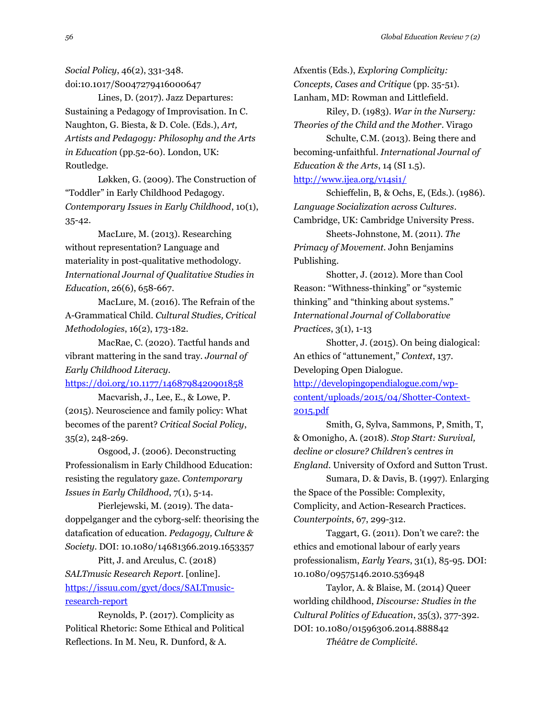*Social Policy*, 46(2), 331-348. doi:10.1017/S0047279416000647

Lines, D. (2017). Jazz Departures: Sustaining a Pedagogy of Improvisation. In C. Naughton, G. Biesta, & D. Cole. (Eds.), *Art, Artists and Pedagogy: Philosophy and the Arts in Education* (pp.52-60). London, UK: Routledge.

Løkken, G. (2009). The Construction of "Toddler" in Early Childhood Pedagogy. *Contemporary Issues in Early Childhood*, 10(1), 35-42.

MacLure, M. (2013). Researching without representation? Language and materiality in post-qualitative methodology. *International Journal of Qualitative Studies in Education*, 26(6), 658-667.

MacLure, M. (2016). The Refrain of the A-Grammatical Child. *Cultural Studies, Critical Methodologies*, 16(2), 173-182.

MacRae, C. (2020). Tactful hands and vibrant mattering in the sand tray. *Journal of Early Childhood Literacy*.

<https://doi.org/10.1177/1468798420901858>

Macvarish, J., Lee, E., & Lowe, P. (2015). Neuroscience and family policy: What becomes of the parent? *Critical Social Policy*, 35(2), 248-269.

Osgood, J. (2006). Deconstructing Professionalism in Early Childhood Education: resisting the regulatory gaze. *Contemporary Issues in Early Childhood*, 7(1), 5-14.

Pierlejewski, M. (2019). The datadoppelganger and the cyborg-self: theorising the datafication of education. *Pedagogy, Culture & Society*. DOI: 10.1080/14681366.2019.1653357

Pitt, J. and Arculus, C. (2018) *SALTmusic Research Report*. [online]. [https://issuu.com/gyct/docs/SALTmusic](https://issuu.com/gyct/docs/SALTmusic-research-report)[research-report](https://issuu.com/gyct/docs/SALTmusic-research-report)

Reynolds, P. (2017). Complicity as Political Rhetoric: Some Ethical and Political Reflections. In M. Neu, R. Dunford, & A.

Afxentis (Eds.), *Exploring Complicity: Concepts, Cases and Critique* (pp. 35-51). Lanham, MD: Rowman and Littlefield.

Riley, D. (1983). *War in the Nursery: Theories of the Child and the Mother*. Virago

Schulte, C.M. (2013). Being there and becoming-unfaithful. *International Journal of Education & the Arts*, 14 (SI 1.5).

# <http://www.ijea.org/v14si1/>

Schieffelin, B, & Ochs, E, (Eds.). (1986). *Language Socialization across Cultures*. Cambridge, UK: Cambridge University Press.

Sheets-Johnstone, M. (2011). *The Primacy of Movement.* John Benjamins Publishing.

Shotter, J. (2012). More than Cool Reason: "Withness-thinking" or "systemic thinking" and "thinking about systems." *International Journal of Collaborative Practices*, 3(1), 1-13

Shotter, J. (2015). On being dialogical: An ethics of "attunement," *Context*, 137. Developing Open Dialogue.

[http://developingopendialogue.com/wp](http://developingopendialogue.com/wp-content/uploads/2015/04/Shotter-Context-2015.pdf)[content/uploads/2015/04/Shotter-Context-](http://developingopendialogue.com/wp-content/uploads/2015/04/Shotter-Context-2015.pdf)[2015.pdf](http://developingopendialogue.com/wp-content/uploads/2015/04/Shotter-Context-2015.pdf)

Smith, G, Sylva, Sammons, P, Smith, T, & Omonigho, A. (2018). *Stop Start: Survival, decline or closure? Children's centres in England*. University of Oxford and Sutton Trust.

Sumara, D. & Davis, B. (1997). Enlarging the Space of the Possible: Complexity, Complicity, and Action-Research Practices. *Counterpoints*, 67, 299-312.

Taggart, G. (2011). Don't we care?: the ethics and emotional labour of early years professionalism, *Early Years*, 31(1), 85-95. DOI: 10.1080/09575146.2010.536948

Taylor, A. & Blaise, M. (2014) Queer worlding childhood, *Discourse: Studies in the Cultural Politics of Education*, 35(3), 377-392. DOI: 10.1080/01596306.2014.888842 *Théâtre de Complicité*.